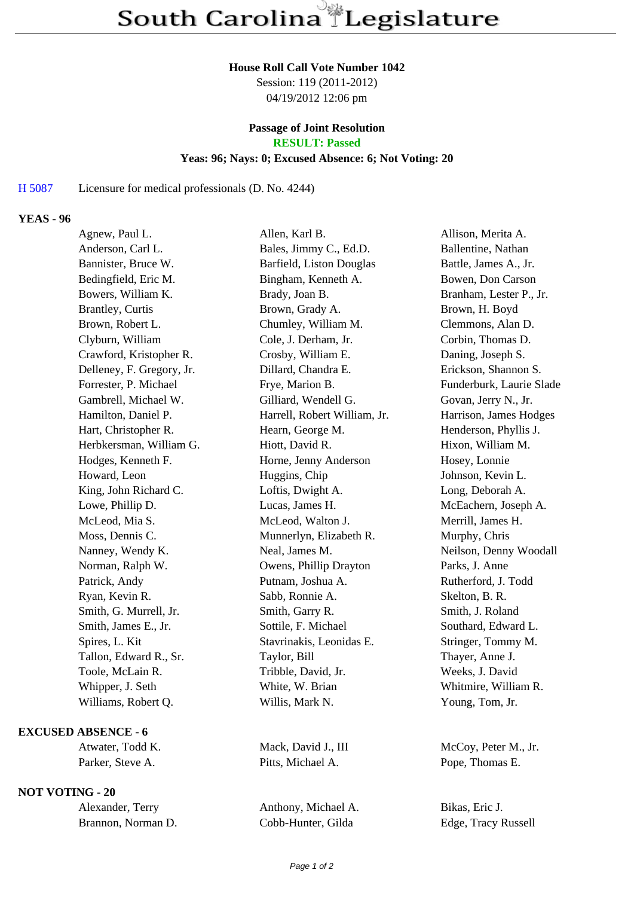#### **House Roll Call Vote Number 1042**

Session: 119 (2011-2012) 04/19/2012 12:06 pm

# **Passage of Joint Resolution**

**RESULT: Passed**

## **Yeas: 96; Nays: 0; Excused Absence: 6; Not Voting: 20**

#### H 5087 Licensure for medical professionals (D. No. 4244)

## **YEAS - 96**

| Agnew, Paul L.            | Allen, Karl B.               | Allison, Merita A.       |
|---------------------------|------------------------------|--------------------------|
| Anderson, Carl L.         | Bales, Jimmy C., Ed.D.       | Ballentine, Nathan       |
| Bannister, Bruce W.       | Barfield, Liston Douglas     | Battle, James A., Jr.    |
| Bedingfield, Eric M.      | Bingham, Kenneth A.          | Bowen, Don Carson        |
| Bowers, William K.        | Brady, Joan B.               | Branham, Lester P., Jr.  |
| Brantley, Curtis          | Brown, Grady A.              | Brown, H. Boyd           |
| Brown, Robert L.          | Chumley, William M.          | Clemmons, Alan D.        |
| Clyburn, William          | Cole, J. Derham, Jr.         | Corbin, Thomas D.        |
| Crawford, Kristopher R.   | Crosby, William E.           | Daning, Joseph S.        |
| Delleney, F. Gregory, Jr. | Dillard, Chandra E.          | Erickson, Shannon S.     |
| Forrester, P. Michael     | Frye, Marion B.              | Funderburk, Laurie Slade |
| Gambrell, Michael W.      | Gilliard, Wendell G.         | Govan, Jerry N., Jr.     |
| Hamilton, Daniel P.       | Harrell, Robert William, Jr. | Harrison, James Hodges   |
| Hart, Christopher R.      | Hearn, George M.             | Henderson, Phyllis J.    |
| Herbkersman, William G.   | Hiott, David R.              | Hixon, William M.        |
| Hodges, Kenneth F.        | Horne, Jenny Anderson        | Hosey, Lonnie            |
| Howard, Leon              | Huggins, Chip                | Johnson, Kevin L.        |
| King, John Richard C.     | Loftis, Dwight A.            | Long, Deborah A.         |
| Lowe, Phillip D.          | Lucas, James H.              | McEachern, Joseph A.     |
| McLeod, Mia S.            | McLeod, Walton J.            | Merrill, James H.        |
| Moss, Dennis C.           | Munnerlyn, Elizabeth R.      | Murphy, Chris            |
| Nanney, Wendy K.          | Neal, James M.               | Neilson, Denny Woodall   |
| Norman, Ralph W.          | Owens, Phillip Drayton       | Parks, J. Anne           |
| Patrick, Andy             | Putnam, Joshua A.            | Rutherford, J. Todd      |
| Ryan, Kevin R.            | Sabb, Ronnie A.              | Skelton, B. R.           |
| Smith, G. Murrell, Jr.    | Smith, Garry R.              | Smith, J. Roland         |
| Smith, James E., Jr.      | Sottile, F. Michael          | Southard, Edward L.      |
| Spires, L. Kit            | Stavrinakis, Leonidas E.     | Stringer, Tommy M.       |
| Tallon, Edward R., Sr.    | Taylor, Bill                 | Thayer, Anne J.          |
| Toole, McLain R.          | Tribble, David, Jr.          | Weeks, J. David          |
| Whipper, J. Seth          | White, W. Brian              | Whitmire, William R.     |
| Williams, Robert Q.       | Willis, Mark N.              | Young, Tom, Jr.          |
|                           |                              |                          |

## **EXCUSED ABSENCE - 6**

## **NOT VOTING - 20**

| Alexander, Terry   |  |
|--------------------|--|
| Brannon, Norman D. |  |

Parker, Steve A. Pitts, Michael A. Pope, Thomas E.

Anthony, Michael A. Bikas, Eric J. Cobb-Hunter, Gilda Edge, Tracy Russell

Atwater, Todd K. Mack, David J., III McCoy, Peter M., Jr.